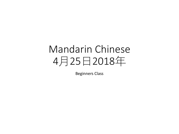# Mandarin Chinese 4月25日2018年

Beginners Class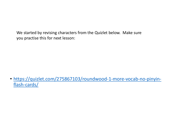We started by revising characters from the Quizlet below. Make sure you practise this for next lesson:

• [https://quizlet.com/275867103/roundwood-1-more-vocab-no-pinyin](https://quizlet.com/275867103/roundwood-1-more-vocab-no-pinyin-flash-cards/)flash-cards/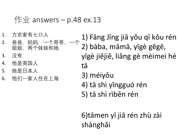### $\sqrt{2}$  answers – p.48 ex.13

- 1. 方京家有七口人
- 2. 爸爸, 妈妈, 一个哥哥, 一个 姐姐, 两个妹妹和她
- 3. 没有
- 4. 他是英国人
- 5. 她是日本人
- 6. 他们一家人住在上海

1) Fāng Jīng jiā yǒu qī kǒu rén 2) bàba, māmā, yīgè gēgē, yīgè jiějiě, liǎng gè mèimei hé tā

- 3) méiyǒu
- 4) tā shì yīngguó rén
- 5) tā shì rìběn rén

6)tāmen yī jiā rén zhù zài shànghǎi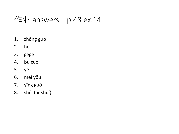## $\sqrt{\frac{2}{1}}$  answers – p.48 ex.14

- zhōng guó 1.
- hé  $2.$
- 3. gēge
- bù cuò 4.
- 5. yě
- méi yǒu 6.
- 7. yīng guó
- shéi (or shuí) 8.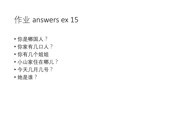# $4 \div 2$  answers ex 15

- 你是哪国人?
- 你家有几口人?
- 你有几个姐姐
- 小山家住在哪儿?
- 今天几月几号?
- 她是谁?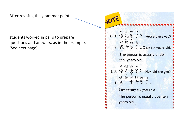After revising this grammar point,

students worked in pairs to prepare questions and answers, as in the example. (See next page)

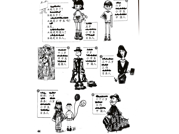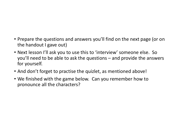- Prepare the questions and answers you'll find on the next page (or on the handout I gave out)
- Next lesson I'll ask you to use this to 'interview' someone else. So you'll need to be able to ask the questions – and provide the answers for yourself.
- And don't forget to practise the quizlet, as mentioned above!
- We finished with the game below. Can you remember how to pronounce all the characters?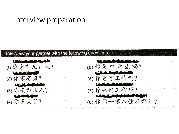#### Interview preparation

#### Interview your partner with the following questions.

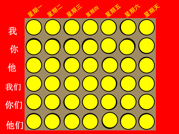